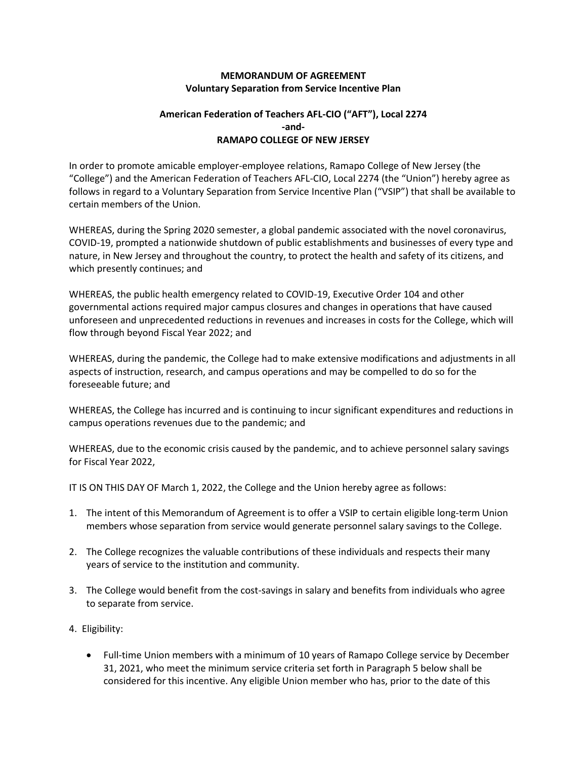## **MEMORANDUM OF AGREEMENT Voluntary Separation from Service Incentive Plan**

## **American Federation of Teachers AFL-CIO ("AFT"), Local 2274 -and-RAMAPO COLLEGE OF NEW JERSEY**

In order to promote amicable employer-employee relations, Ramapo College of New Jersey (the "College") and the American Federation of Teachers AFL-CIO, Local 2274 (the "Union") hereby agree as follows in regard to a Voluntary Separation from Service Incentive Plan ("VSIP") that shall be available to certain members of the Union.

WHEREAS, during the Spring 2020 semester, a global pandemic associated with the novel coronavirus, COVID-19, prompted a nationwide shutdown of public establishments and businesses of every type and nature, in New Jersey and throughout the country, to protect the health and safety of its citizens, and which presently continues; and

WHEREAS, the public health emergency related to COVID-19, Executive Order 104 and other governmental actions required major campus closures and changes in operations that have caused unforeseen and unprecedented reductions in revenues and increases in costs for the College, which will flow through beyond Fiscal Year 2022; and

WHEREAS, during the pandemic, the College had to make extensive modifications and adjustments in all aspects of instruction, research, and campus operations and may be compelled to do so for the foreseeable future; and

WHEREAS, the College has incurred and is continuing to incur significant expenditures and reductions in campus operations revenues due to the pandemic; and

WHEREAS, due to the economic crisis caused by the pandemic, and to achieve personnel salary savings for Fiscal Year 2022,

IT IS ON THIS DAY OF March 1, 2022, the College and the Union hereby agree as follows:

- 1. The intent of this Memorandum of Agreement is to offer a VSIP to certain eligible long-term Union members whose separation from service would generate personnel salary savings to the College.
- 2. The College recognizes the valuable contributions of these individuals and respects their many years of service to the institution and community.
- 3. The College would benefit from the cost-savings in salary and benefits from individuals who agree to separate from service.
- 4. Eligibility:
	- Full-time Union members with a minimum of 10 years of Ramapo College service by December 31, 2021, who meet the minimum service criteria set forth in Paragraph 5 below shall be considered for this incentive. Any eligible Union member who has, prior to the date of this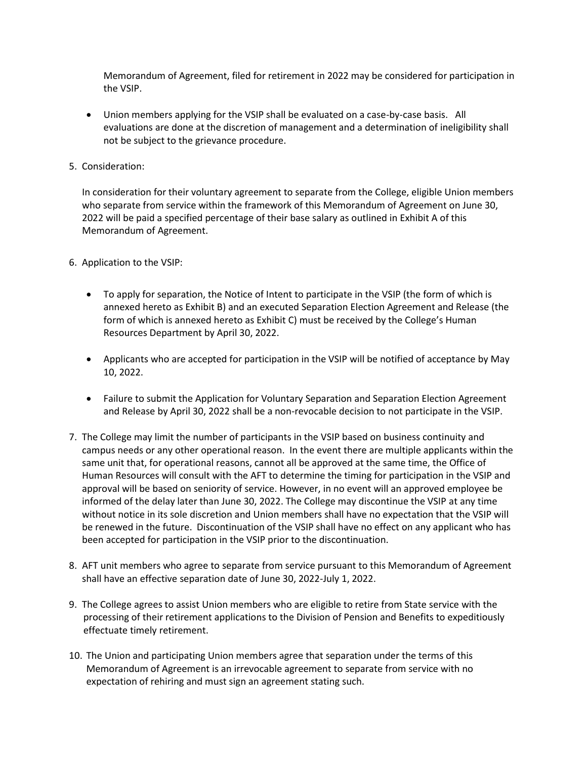Memorandum of Agreement, filed for retirement in 2022 may be considered for participation in the VSIP.

- Union members applying for the VSIP shall be evaluated on a case-by-case basis. All evaluations are done at the discretion of management and a determination of ineligibility shall not be subject to the grievance procedure.
- 5. Consideration:

In consideration for their voluntary agreement to separate from the College, eligible Union members who separate from service within the framework of this Memorandum of Agreement on June 30, 2022 will be paid a specified percentage of their base salary as outlined in Exhibit A of this Memorandum of Agreement.

- 6. Application to the VSIP:
	- To apply for separation, the Notice of Intent to participate in the VSIP (the form of which is annexed hereto as Exhibit B) and an executed Separation Election Agreement and Release (the form of which is annexed hereto as Exhibit C) must be received by the College's Human Resources Department by April 30, 2022.
	- Applicants who are accepted for participation in the VSIP will be notified of acceptance by May 10, 2022.
	- Failure to submit the Application for Voluntary Separation and Separation Election Agreement and Release by April 30, 2022 shall be a non-revocable decision to not participate in the VSIP.
- 7. The College may limit the number of participants in the VSIP based on business continuity and campus needs or any other operational reason. In the event there are multiple applicants within the same unit that, for operational reasons, cannot all be approved at the same time, the Office of Human Resources will consult with the AFT to determine the timing for participation in the VSIP and approval will be based on seniority of service. However, in no event will an approved employee be informed of the delay later than June 30, 2022. The College may discontinue the VSIP at any time without notice in its sole discretion and Union members shall have no expectation that the VSIP will be renewed in the future. Discontinuation of the VSIP shall have no effect on any applicant who has been accepted for participation in the VSIP prior to the discontinuation.
- 8. AFT unit members who agree to separate from service pursuant to this Memorandum of Agreement shall have an effective separation date of June 30, 2022-July 1, 2022.
- 9. The College agrees to assist Union members who are eligible to retire from State service with the processing of their retirement applications to the Division of Pension and Benefits to expeditiously effectuate timely retirement.
- 10. The Union and participating Union members agree that separation under the terms of this Memorandum of Agreement is an irrevocable agreement to separate from service with no expectation of rehiring and must sign an agreement stating such.